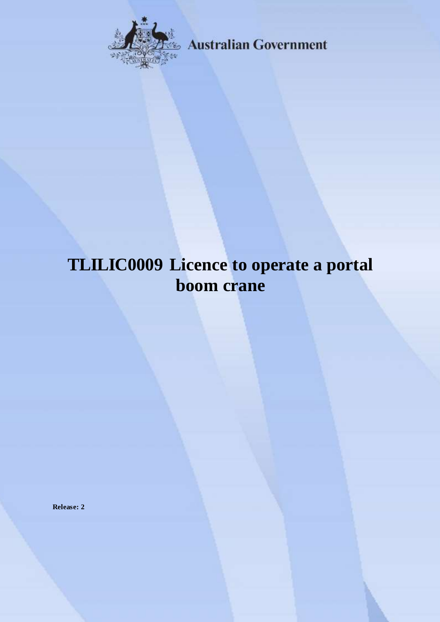

**Australian Government** 

# **TLILIC0009 Licence to operate a portal boom crane**

**Release: 2**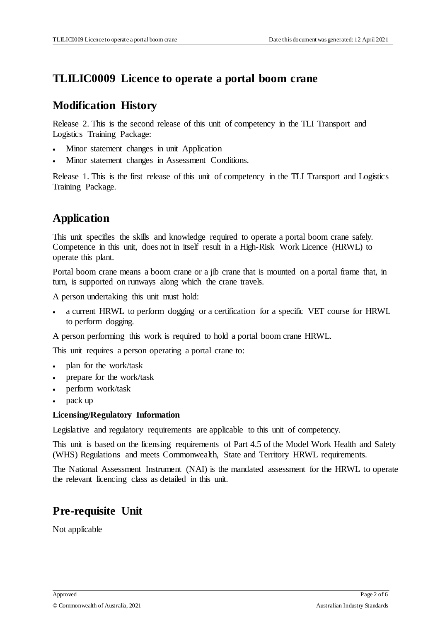#### **TLILIC0009 Licence to operate a portal boom crane**

#### **Modification History**

Release 2. This is the second release of this unit of competency in the TLI Transport and Logistics Training Package:

- Minor statement changes in unit Application
- Minor statement changes in Assessment Conditions.

Release 1. This is the first release of this unit of competency in the TLI Transport and Logistics Training Package.

# **Application**

This unit specifies the skills and knowledge required to operate a portal boom crane safely. Competence in this unit, does not in itself result in a High-Risk Work Licence (HRWL) to operate this plant.

Portal boom crane means a boom crane or a jib crane that is mounted on a portal frame that, in turn, is supported on runways along which the crane travels.

A person undertaking this unit must hold:

 a current HRWL to perform dogging or a certification for a specific VET course for HRWL to perform dogging.

A person performing this work is required to hold a portal boom crane HRWL.

This unit requires a person operating a portal crane to:

- plan for the work/task
- prepare for the work/task
- perform work/task
- pack up

#### **Licensing/Regulatory Information**

Legislative and regulatory requirements are applicable to this unit of competency.

This unit is based on the licensing requirements of Part 4.5 of the Model Work Health and Safety (WHS) Regulations and meets Commonwealth, State and Territory HRWL requirements.

The National Assessment Instrument (NAI) is the mandated assessment for the HRWL to operate the relevant licencing class as detailed in this unit.

# **Pre-requisite Unit**

Not applicable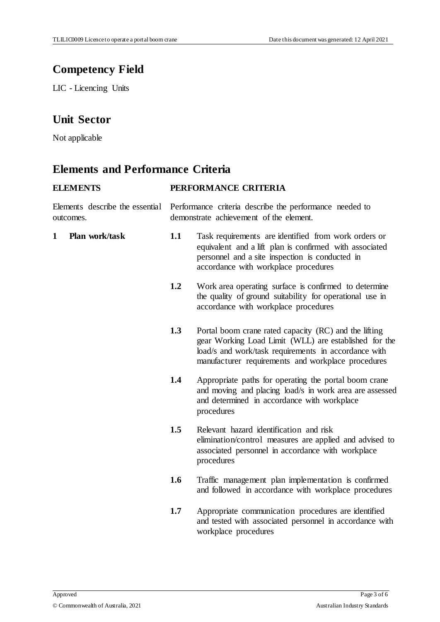# **Competency Field**

LIC - Licencing Units

### **Unit Sector**

Not applicable

# **Elements and Performance Criteria**

| <b>ELEMENTS</b>                              | PERFORMANCE CRITERIA                                                                               |                                                                                                                                                                                                                              |
|----------------------------------------------|----------------------------------------------------------------------------------------------------|------------------------------------------------------------------------------------------------------------------------------------------------------------------------------------------------------------------------------|
| Elements describe the essential<br>outcomes. | Performance criteria describe the performance needed to<br>demonstrate achievement of the element. |                                                                                                                                                                                                                              |
| Plan work/task<br>1                          | 1.1                                                                                                | Task requirements are identified from work orders or<br>equivalent and a lift plan is confirmed with associated<br>personnel and a site inspection is conducted in<br>accordance with workplace procedures                   |
|                                              | 1.2                                                                                                | Work area operating surface is confirmed to determine<br>the quality of ground suitability for operational use in<br>accordance with workplace procedures                                                                    |
|                                              | 1.3                                                                                                | Portal boom crane rated capacity (RC) and the lifting<br>gear Working Load Limit (WLL) are established for the<br>load/s and work/task requirements in accordance with<br>manufacturer requirements and workplace procedures |
|                                              | 1.4                                                                                                | Appropriate paths for operating the portal boom crane<br>and moving and placing load/s in work area are assessed<br>and determined in accordance with workplace<br>procedures                                                |
|                                              | 1.5                                                                                                | Relevant hazard identification and risk<br>elimination/control measures are applied and advised to<br>associated personnel in accordance with workplace<br>procedures                                                        |
|                                              | 1.6                                                                                                | Traffic management plan implementation is confirmed<br>and followed in accordance with workplace procedures                                                                                                                  |
|                                              | 1.7                                                                                                | Appropriate communication procedures are identified<br>and tested with associated personnel in accordance with<br>workplace procedures                                                                                       |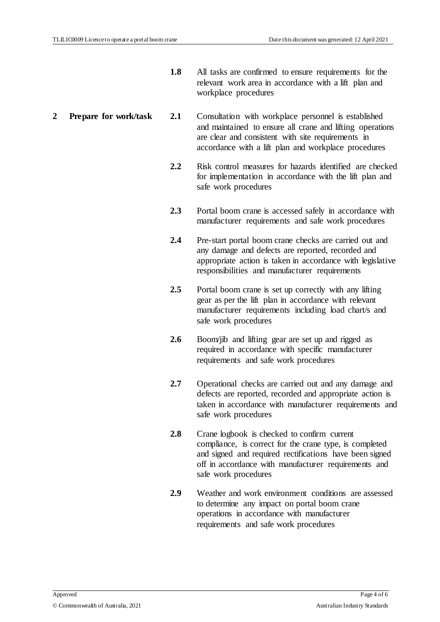- **1.8** All tasks are confirmed to ensure requirements for the relevant work area in accordance with a lift plan and workplace procedures
- **2 Prepare for work/task 2.1** Consultation with workplace personnel is established and maintained to ensure all crane and lifting operations are clear and consistent with site requirements in accordance with a lift plan and workplace procedures
	- **2.2** Risk control measures for hazards identified are checked for implementation in accordance with the lift plan and safe work procedures
	- **2.3** Portal boom crane is accessed safely in accordance with manufacturer requirements and safe work procedures
	- **2.4** Pre-start portal boom crane checks are carried out and any damage and defects are reported, recorded and appropriate action is taken in accordance with legislative responsibilities and manufacturer requirements
	- **2.5** Portal boom crane is set up correctly with any lifting gear as per the lift plan in accordance with relevant manufacturer requirements including load chart/s and safe work procedures
	- **2.6** Boom/jib and lifting gear are set up and rigged as required in accordance with specific manufacturer requirements and safe work procedures
	- **2.7** Operational checks are carried out and any damage and defects are reported, recorded and appropriate action is taken in accordance with manufacturer requirements and safe work procedures
	- **2.8** Crane logbook is checked to confirm current compliance, is correct for the crane type, is completed and signed and required rectifications have been signed off in accordance with manufacturer requirements and safe work procedures
	- **2.9** Weather and work environment conditions are assessed to determine any impact on portal boom crane operations in accordance with manufacturer requirements and safe work procedures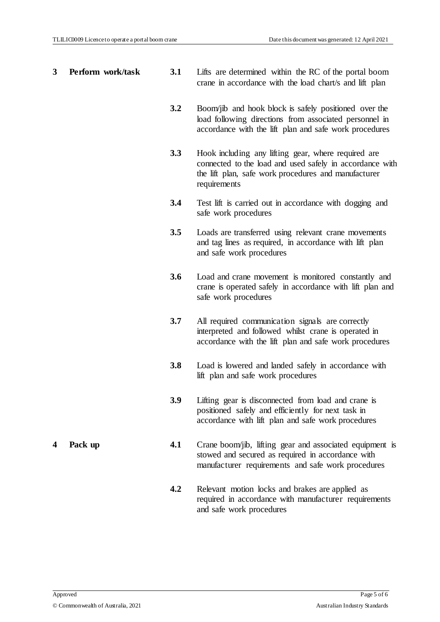| 3 | Perform work/task | 3.1 | Lifts are determined within the RC of the portal boom<br>crane in accordance with the load chart/s and lift plan                                                                        |
|---|-------------------|-----|-----------------------------------------------------------------------------------------------------------------------------------------------------------------------------------------|
|   |                   | 3.2 | Boom/jib and hook block is safely positioned over the<br>load following directions from associated personnel in<br>accordance with the lift plan and safe work procedures               |
|   |                   | 3.3 | Hook including any lifting gear, where required are<br>connected to the load and used safely in accordance with<br>the lift plan, safe work procedures and manufacturer<br>requirements |
|   |                   | 3.4 | Test lift is carried out in accordance with dogging and<br>safe work procedures                                                                                                         |
|   |                   | 3.5 | Loads are transferred using relevant crane movements<br>and tag lines as required, in accordance with lift plan<br>and safe work procedures                                             |
|   |                   | 3.6 | Load and crane movement is monitored constantly and<br>crane is operated safely in accordance with lift plan and<br>safe work procedures                                                |
|   |                   | 3.7 | All required communication signals are correctly<br>interpreted and followed whilst crane is operated in<br>accordance with the lift plan and safe work procedures                      |
|   |                   | 3.8 | Load is lowered and landed safely in accordance with<br>lift plan and safe work procedures                                                                                              |
|   |                   | 3.9 | Lifting gear is disconnected from load and crane is<br>positioned safely and efficiently for next task in<br>accordance with lift plan and safe work procedures                         |
| 4 | Pack up           | 4.1 | Crane boom/jib, lifting gear and associated equipment is<br>stowed and secured as required in accordance with<br>manufacturer requirements and safe work procedures                     |
|   |                   | 4.2 | Relevant motion locks and brakes are applied as<br>required in accordance with manufacturer requirements<br>and safe work procedures                                                    |